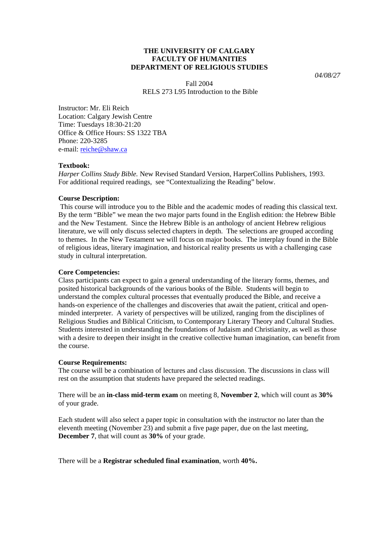# **THE UNIVERSITY OF CALGARY FACULTY OF HUMANITIES DEPARTMENT OF RELIGIOUS STUDIES**

*04/08/27* 

Fall 2004 RELS 273 L95 Introduction to the Bible

Instructor: Mr. Eli Reich Location: Calgary Jewish Centre Time: Tuesdays 18:30-21:20 Office & Office Hours: SS 1322 TBA Phone: 220-3285 e-mail: [reiche@shaw.ca](mailto:reiche@shaw.ca)

# **Textbook:**

*Harper Collins Study Bible.* New Revised Standard Version, HarperCollins Publishers, 1993. For additional required readings, see "Contextualizing the Reading" below.

# **Course Description:**

 This course will introduce you to the Bible and the academic modes of reading this classical text. By the term "Bible" we mean the two major parts found in the English edition: the Hebrew Bible and the New Testament. Since the Hebrew Bible is an anthology of ancient Hebrew religious literature, we will only discuss selected chapters in depth. The selections are grouped according to themes. In the New Testament we will focus on major books. The interplay found in the Bible of religious ideas, literary imagination, and historical reality presents us with a challenging case study in cultural interpretation.

# **Core Competencies:**

Class participants can expect to gain a general understanding of the literary forms, themes, and posited historical backgrounds of the various books of the Bible. Students will begin to understand the complex cultural processes that eventually produced the Bible, and receive a hands-on experience of the challenges and discoveries that await the patient, critical and openminded interpreter. A variety of perspectives will be utilized, ranging from the disciplines of Religious Studies and Biblical Criticism, to Contemporary Literary Theory and Cultural Studies. Students interested in understanding the foundations of Judaism and Christianity, as well as those with a desire to deepen their insight in the creative collective human imagination, can benefit from the course.

# **Course Requirements:**

The course will be a combination of lectures and class discussion. The discussions in class will rest on the assumption that students have prepared the selected readings.

There will be an **in-class mid-term exam** on meeting 8, **November 2**, which will count as **30%** of your grade.

Each student will also select a paper topic in consultation with the instructor no later than the eleventh meeting (November 23) and submit a five page paper, due on the last meeting, **December 7**, that will count as **30%** of your grade.

# There will be a **Registrar scheduled final examination**, worth **40%.**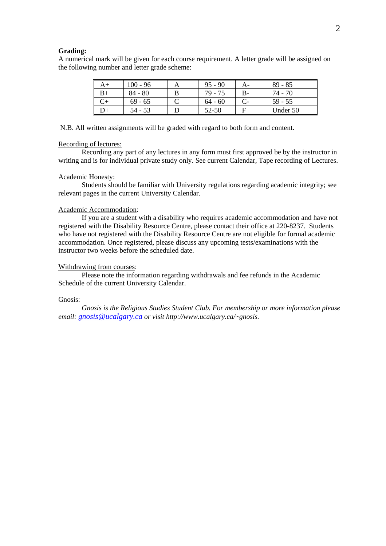#### **Grading:**

A numerical mark will be given for each course requirement. A letter grade will be assigned on the following number and letter grade scheme:

| A+ | $100 - 96$ | $95 - 90$ | A- | $89 - 85$ |
|----|------------|-----------|----|-----------|
|    | $84 - 80$  | 79 - 75   | В- | 74 - 70   |
|    | $69 - 65$  | $64 - 60$ |    | 59 - 55   |
|    | $54 - 53$  | $52 - 50$ |    | Under 50  |

N.B. All written assignments will be graded with regard to both form and content.

## Recording of lectures:

 Recording any part of any lectures in any form must first approved be by the instructor in writing and is for individual private study only. See current Calendar, Tape recording of Lectures.

### Academic Honesty:

 Students should be familiar with University regulations regarding academic integrity; see relevant pages in the current University Calendar.

# Academic Accommodation:

 If you are a student with a disability who requires academic accommodation and have not registered with the Disability Resource Centre, please contact their office at 220-8237. Students who have not registered with the Disability Resource Centre are not eligible for formal academic accommodation. Once registered, please discuss any upcoming tests/examinations with the instructor two weeks before the scheduled date.

### Withdrawing from courses:

 Please note the information regarding withdrawals and fee refunds in the Academic Schedule of the current University Calendar.

## Gnosis:

 *Gnosis is the Religious Studies Student Club. For membership or more information please email: [gnosis@ucalgary.ca](mailto:gnosis@ucalgary.ca) or visit http://www.ucalgary.ca/~gnosis.*